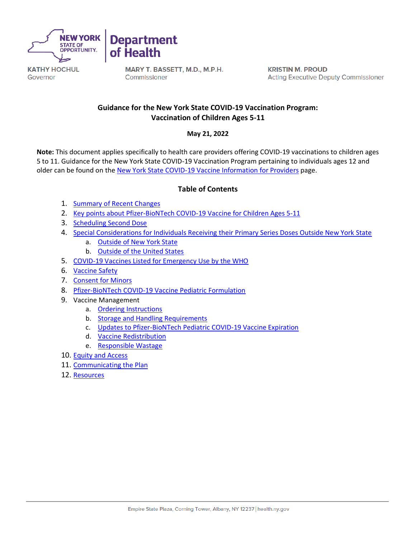

Governor



MARY T. BASSETT, M.D., M.P.H. Commissioner

**KRISTIN M. PROUD Acting Executive Deputy Commissioner** 

# **Guidance for the New York State COVID-19 Vaccination Program: Vaccination of Children Ages 5-11**

# **May 21, 2022**

**Note:** This document applies specifically to health care providers offering COVID-19 vaccinations to children ages 5 to 11. Guidance for the New York State COVID-19 Vaccination Program pertaining to individuals ages 12 and older can be found on the [New York State COVID-19 Vaccine Information for Providers](https://coronavirus.health.ny.gov/covid-19-vaccine-information-providers) page.

# **Table of Contents**

- 1. [Summary of Recent Changes](#page-1-0)
- 2. [Key points about Pfizer-BioNTech COVID-19 Vaccine for Children Ages 5-11](#page-2-0)
- 3. [Scheduling Second Dose](#page-2-1)
- 4. [Special Considerations for Individuals Receiving their Primary Series Doses Outside New York State](#page-3-0)
	- a. [Outside of New York State](#page-3-0)
	- b. [Outside of the United States](#page-3-1)
- 5. [COVID-19 Vaccines Listed for Emergency Use by the WHO](#page-3-2)
- 6. [Vaccine Safety](#page-3-3)
- 7. [Consent for Minors](#page-4-0)
- 8. [Pfizer-BioNTech COVID-19 Vaccine Pediatric Formulation](#page-5-0)
- 9. Vaccine Management
	- a. [Ordering Instructions](#page-5-1)
	- b. [Storage and Handling Requirements](#page-5-2)
	- c. [Updates to Pfizer-BioNTech Pediatric COVID-19 Vaccine Expiration](#page-6-0)
	- d. [Vaccine Redistribution](#page-7-0)
	- e. [Responsible Wastage](#page-8-0)
- 10. [Equity and Access](#page-8-1)
- 11. [Communicating the Plan](#page-9-0)
- 12. [Resources](#page-9-1)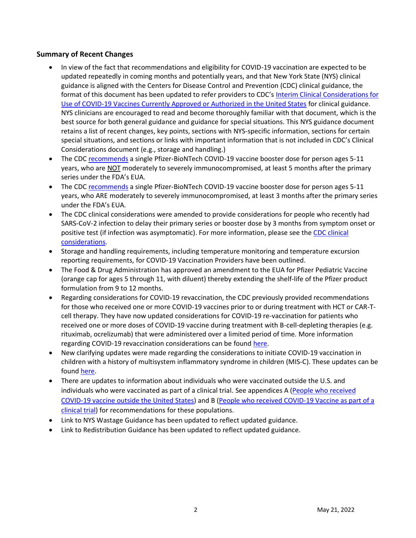# <span id="page-1-0"></span>**Summary of Recent Changes**

- In view of the fact that recommendations and eligibility for COVID-19 vaccination are expected to be updated repeatedly in coming months and potentially years, and that New York State (NYS) clinical guidance is aligned with the Centers for Disease Control and Prevention (CDC) clinical guidance, the format of this document has been updated to refer providers to CDC's [Interim Clinical Considerations for](https://www.cdc.gov/vaccines/covid-19/clinical-considerations/covid-19-vaccines-us.html)  [Use of COVID-19 Vaccines Currently Approved or Authorized in the United States](https://www.cdc.gov/vaccines/covid-19/clinical-considerations/covid-19-vaccines-us.html) for clinical guidance. NYS clinicians are encouraged to read and become thoroughly familiar with that document, which is the best source for both general guidance and guidance for special situations. This NYS guidance document retains a list of recent changes, key points, sections with NYS-specific information, sections for certain special situations, and sections or links with important information that is not included in CDC's Clinical Considerations document (e.g., storage and handling.)
- The CDC [recommends](https://www.cdc.gov/vaccines/covid-19/clinical-considerations/interim-considerations-us.html#:~:text=or%20severely%20immunocompromised.-,Booster%20doses%20for%20people%20who%20are%20not%20moderately%20or%20severely%20immunocompromised,-All%20people%20ages) a single Pfizer-BioNTech COVID-19 vaccine booster dose for person ages 5-11 years, who are NOT moderately to severely immunocompromised, at least 5 months after the primary series under the FDA's EUA.
- The CDC [recommends](https://www.cdc.gov/vaccines/covid-19/clinical-considerations/interim-considerations-us.html#:~:text=cap%20vial%5D)%20dose.-,Booster%20doses%20for%20people%20who%20are%20moderately%20or%20severely%20immunocompromised,-Booster%20doses%20are) a single Pfizer-BioNTech COVID-19 vaccine booster dose for person ages 5-11 years, who ARE moderately to severely immunocompromised, at least 3 months after the primary series under the FDA's EUA.
- The CDC clinical considerations were amended to provide considerations for people who recently had SARS-CoV-2 infection to delay their primary series or booster dose by 3 months from symptom onset or positive test (if infection was asymptomatic). For more information, please see the [CDC clinical](https://www.cdc.gov/vaccines/covid-19/clinical-considerations/faq.html#infection)  [considerations.](https://www.cdc.gov/vaccines/covid-19/clinical-considerations/faq.html#infection)
- Storage and handling requirements, including temperature monitoring and temperature excursion reporting requirements, for COVID-19 Vaccination Providers have been outlined.
- The Food & Drug Administration has approved an amendment to the EUA for Pfizer Pediatric Vaccine (orange cap for ages 5 through 11, with diluent) thereby extending the shelf-life of the Pfizer product formulation from 9 to 12 months.
- Regarding considerations for COVID-19 revaccination, the CDC previously provided recommendations for those who received one or more COVID-19 vaccines prior to or during treatment with HCT or CAR-Tcell therapy. They have now updated considerations for COVID-19 re-vaccination for patients who received one or more doses of COVID-19 vaccine during treatment with B-cell-depleting therapies (e.g. rituximab, ocrelizumab) that were administered over a limited period of time. More information regarding COVID-19 revaccination considerations can be found [here.](https://www.cdc.gov/vaccines/covid-19/clinical-considerations/interim-considerations-us.html?ACSTrackingID=USCDC_2120-DM82546&ACSTrackingLabel=Updated%20Guidance%3A%20Interim%20Clinical%20Considerations%20for%20Use%20of%20COVID-19%20Vaccines&deliveryName=USCDC_2120-DM82546#:~:text=Considerations%20for%20COVID%2D19%20revaccination)
- New clarifying updates were made regarding the considerations to initiate COVID-19 vaccination in children with a history of multisystem inflammatory syndrome in children (MIS-C). These updates can be found [here.](https://www.cdc.gov/vaccines/covid-19/clinical-considerations/interim-considerations-us.html?ACSTrackingID=USCDC_2120-DM82546&ACSTrackingLabel=Updated%20Guidance%3A%20Interim%20Clinical%20Considerations%20for%20Use%20of%20COVID-19%20Vaccines&deliveryName=USCDC_2120-DM82546#:~:text=COVID%2D19%20vaccination%20and%20MIS%2DC%20and%20MIS%2DA)
- There are updates to information about individuals who were vaccinated outside the U.S. and individuals who were vaccinated as part of a clinical trial. See appendices A [\(People who received](https://www.cdc.gov/vaccines/covid-19/clinical-considerations/interim-considerations-us.html#appendix-a)  [COVID-19 vaccine outside the United States\)](https://www.cdc.gov/vaccines/covid-19/clinical-considerations/interim-considerations-us.html#appendix-a) and B [\(People who received COVID-19 Vaccine as part of a](https://www.cdc.gov/vaccines/covid-19/clinical-considerations/interim-considerations-us.html#appendix-b)  [clinical trial\)](https://www.cdc.gov/vaccines/covid-19/clinical-considerations/interim-considerations-us.html#appendix-b) for recommendations for these populations.
- Link to NYS Wastage Guidance has been updated to reflect updated guidance.
- Link to Redistribution Guidance has been updated to reflect updated guidance.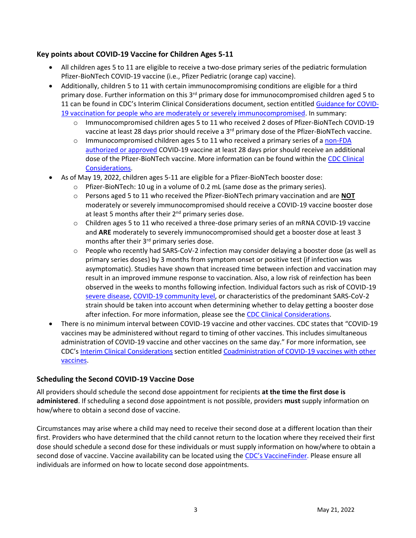# <span id="page-2-0"></span>**Key points about COVID-19 Vaccine for Children Ages 5-11**

- All children ages 5 to 11 are eligible to receive a two-dose primary series of the pediatric formulation Pfizer-BioNTech COVID-19 vaccine (i.e., Pfizer Pediatric (orange cap) vaccine).
- Additionally, children 5 to 11 with certain immunocompromising conditions are eligible for a third primary dose. Further information on this 3<sup>rd</sup> primary dose for immunocompromised children aged 5 to 11 can be found in CDC's Interim Clinical Considerations document, section entitled [Guidance for COVID-](https://www.cdc.gov/vaccines/covid-19/clinical-considerations/interim-considerations-us.html#immunocompromised)[19 vaccination for people who are moderately or severely immunocompromised.](https://www.cdc.gov/vaccines/covid-19/clinical-considerations/interim-considerations-us.html#immunocompromised) In summary:
	- o Immunocompromised children ages 5 to 11 who received 2 doses of Pfizer-BioNTech COVID-19 vaccine at least 28 days prior should receive a 3<sup>rd</sup> primary dose of the Pfizer-BioNTech vaccine.
	- $\circ$  Immunocompromised children ages 5 to 11 who received a primary series of a non-FDA [authorized or approved](https://extranet.who.int/pqweb/vaccines/vaccinescovid-19-vaccine-eul-issued) COVID-19 vaccine at least 28 days prior should receive an additional dose of the Pfizer-BioNTech vaccine. More information can be found within the [CDC Clinical](https://www.cdc.gov/vaccines/covid-19/clinical-considerations/interim-considerations-us.html?ACSTrackingID=USCDC_2120-DM82546&ACSTrackingLabel=Updated%20Guidance%3A%20Interim%20Clinical%20Considerations%20for%20Use%20of%20COVID-19%20Vaccines&deliveryName=USCDC_2120-DM82546#:~:text=Table%20A.2.%20Received%20a%20COVID%2D19%20vaccine%20listed%20for%20emergency%20use%20by%20WHO%20but%20not%20approved%20or%20authorized%20by%20FDA)  [Considerations.](https://www.cdc.gov/vaccines/covid-19/clinical-considerations/interim-considerations-us.html?ACSTrackingID=USCDC_2120-DM82546&ACSTrackingLabel=Updated%20Guidance%3A%20Interim%20Clinical%20Considerations%20for%20Use%20of%20COVID-19%20Vaccines&deliveryName=USCDC_2120-DM82546#:~:text=Table%20A.2.%20Received%20a%20COVID%2D19%20vaccine%20listed%20for%20emergency%20use%20by%20WHO%20but%20not%20approved%20or%20authorized%20by%20FDA)
- As of May 19, 2022, children ages 5-11 are eligible for a Pfizer-BioNTech booster dose:
	- o Pfizer-BioNTech: 10 ug in a volume of 0.2 mL (same dose as the primary series).
	- o Persons aged 5 to 11 who received the Pfizer-BioNTech primary vaccination and are **NOT** moderately or severely immunocompromised should receive a COVID-19 vaccine booster dose at least 5 months after their  $2<sup>nd</sup>$  primary series dose.
	- o Children ages 5 to 11 who received a three-dose primary series of an mRNA COVID-19 vaccine and **ARE** moderately to severely immunocompromised should get a booster dose at least 3 months after their 3<sup>rd</sup> primary series dose.
	- $\circ$  People who recently had SARS-CoV-2 infection may consider delaying a booster dose (as well as primary series doses) by 3 months from symptom onset or positive test (if infection was asymptomatic). Studies have shown that increased time between infection and vaccination may result in an improved immune response to vaccination. Also, a low risk of reinfection has been observed in the weeks to months following infection. Individual factors such as risk of COVID-19 [severe disease,](https://www.cdc.gov/coronavirus/2019-ncov/need-extra-precautions/people-with-medical-conditions.html) [COVID-19 community level,](https://www.cdc.gov/coronavirus/2019-ncov/science/community-levels.html) or characteristics of the predominant SARS-CoV-2 strain should be taken into account when determining whether to delay getting a booster dose after infection. For more information, please see the [CDC Clinical Considerations.](https://www.cdc.gov/vaccines/covid-19/clinical-considerations/faq.html#infection)
- There is no minimum interval between COVID-19 vaccine and other vaccines. CDC states that "COVID-19 vaccines may be administered without regard to timing of other vaccines. This includes simultaneous administration of COVID-19 vaccine and other vaccines on the same day." For more information, see CDC's [Interim Clinical Considerations](https://www.cdc.gov/vaccines/covid-19/clinical-considerations/interim-considerations-us.html#recommendations) section entitled [Coadministration of COVID-19 vaccines with other](https://www.cdc.gov/vaccines/covid-19/clinical-considerations/interim-considerations-us.html#:~:text=Coadministration%20of%20COVID%2D19%20vaccines%20with%20other%20vaccines)  [vaccines.](https://www.cdc.gov/vaccines/covid-19/clinical-considerations/interim-considerations-us.html#:~:text=Coadministration%20of%20COVID%2D19%20vaccines%20with%20other%20vaccines)

# <span id="page-2-1"></span>**Scheduling the Second COVID-19 Vaccine Dose**

All providers should schedule the second dose appointment for recipients **at the time the first dose is administered**. If scheduling a second dose appointment is not possible, providers **must** supply information on how/where to obtain a second dose of vaccine.

Circumstances may arise where a child may need to receive their second dose at a different location than their first. Providers who have determined that the child cannot return to the location where they received their first dose should schedule a second dose for these individuals or must supply information on how/where to obtain a second dose of vaccine. Vaccine availability can be located using the [CDC's VaccineFinder](https://www.vaccines.gov/). Please ensure all individuals are informed on how to locate second dose appointments.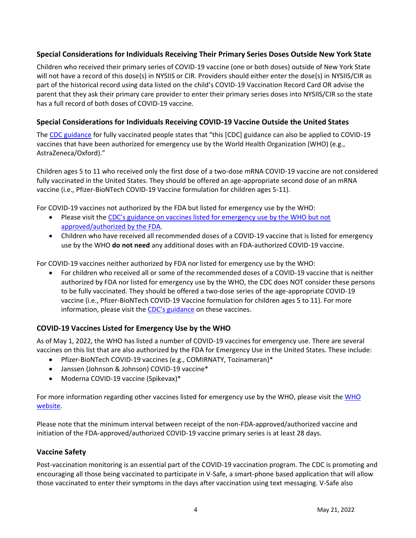# <span id="page-3-0"></span>**Special Considerations for Individuals Receiving Their Primary Series Doses Outside New York State**

Children who received their primary series of COVID-19 vaccine (one or both doses) outside of New York State will not have a record of this dose(s) in NYSIIS or CIR. Providers should either enter the dose(s) in NYSIIS/CIR as part of the historical record using data listed on the child's COVID-19 Vaccination Record Card OR advise the parent that they ask their primary care provider to enter their primary series doses into NYSIIS/CIR so the state has a full record of both doses of COVID-19 vaccine.

# <span id="page-3-1"></span>**Special Considerations for Individuals Receiving COVID-19 Vaccine Outside the United States**

The [CDC guidance](https://www.cdc.gov/coronavirus/2019-ncov/vaccines/fully-vaccinated.html#footnote) for fully vaccinated people states that "this [CDC] guidance can also be applied to COVID-19 vaccines that have been authorized for emergency use by the World Health Organization (WHO) (e.g., AstraZeneca/Oxford)."

Children ages 5 to 11 who received only the first dose of a two-dose mRNA COVID-19 vaccine are not considered fully vaccinated in the United States. They should be offered an age-appropriate second dose of an mRNA vaccine (i.e., Pfizer-BioNTech COVID-19 Vaccine formulation for children ages 5-11).

For COVID-19 vaccines not authorized by the FDA but listed for emergency use by the WHO:

- Please visit the [CDC's guidance on vaccines listed for emergency use by the WHO but not](https://www.cdc.gov/vaccines/covid-19/clinical-considerations/interim-considerations-us.html#:~:text=Table%20A.2.%20Received%20a%20COVID%2D19%20vaccine%20listed%20for%20emergency%20use%20by%20WHO%20but%20not%20approved%20or%20authorized%20by%20FDA)  [approved/authorized by the FDA.](https://www.cdc.gov/vaccines/covid-19/clinical-considerations/interim-considerations-us.html#:~:text=Table%20A.2.%20Received%20a%20COVID%2D19%20vaccine%20listed%20for%20emergency%20use%20by%20WHO%20but%20not%20approved%20or%20authorized%20by%20FDA)
- Children who have received all recommended doses of a COVID-19 vaccine that is listed for emergency use by the WHO **do not need** any additional doses with an FDA-authorized COVID-19 vaccine.

For COVID-19 vaccines neither authorized by FDA nor listed for emergency use by the WHO:

• For children who received all or some of the recommended doses of a COVID-19 vaccine that is neither authorized by FDA nor listed for emergency use by the WHO, the CDC does NOT consider these persons to be fully vaccinated. They should be offered a two-dose series of the age-appropriate COVID-19 vaccine (i.e., Pfizer-BioNTech COVID-19 Vaccine formulation for children ages 5 to 11). For more information, please visit the [CDC's guidance](https://www.cdc.gov/vaccines/covid-19/clinical-considerations/interim-considerations-us.html#:~:text=Table%20A.4.%20Received%20all%20or%20some%20of%20the%20recommended%20doses%20of%20COVID%2D19%20vaccines%20that%20are%20NOT%20FDA%2Dauthorized%2C%20FDA%2Dapproved%2C%20or%20among%20those%20listed%20for%20emergency%20use%20by%20WHO) on these vaccines.

# <span id="page-3-2"></span>**COVID-19 Vaccines Listed for Emergency Use by the WHO**

As of May 1, 2022, the WHO has listed a number of COVID-19 vaccines for emergency use. There are several vaccines on this list that are also authorized by the FDA for Emergency Use in the United States. These include:

- Pfizer-BioNTech COVID-19 vaccines (e.g., COMIRNATY, Tozinameran)\*
- Janssen (Johnson & Johnson) COVID-19 vaccine\*
- Moderna COVID-19 vaccine (Spikevax)\*

For more information regarding other vaccines listed for emergency use by the WHO, please visit the WHO [website.](https://extranet.who.int/pqweb/vaccines/vaccinescovid-19-vaccine-eul-issued)

Please note that the minimum interval between receipt of the non-FDA-approved/authorized vaccine and initiation of the FDA-approved/authorized COVID-19 vaccine primary series is at least 28 days.

# <span id="page-3-3"></span>**Vaccine Safety**

Post-vaccination monitoring is an essential part of the COVID-19 vaccination program. The CDC is promoting and encouraging all those being vaccinated to participate in V-Safe, a smart-phone based application that will allow those vaccinated to enter their symptoms in the days after vaccination using text messaging. V-Safe also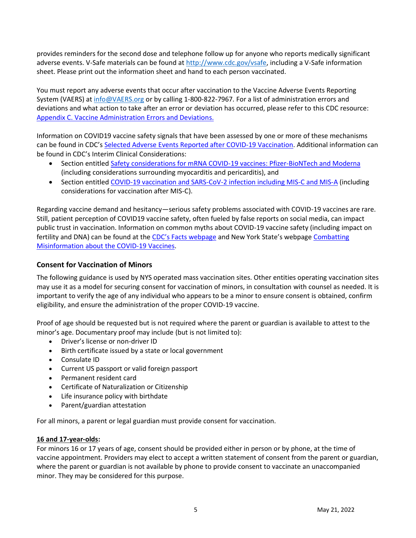provides reminders for the second dose and telephone follow up for anyone who reports medically significant adverse events. V-Safe materials can be found at [http://www.cdc.gov/vsafe,](http://www.cdc.gov/vsafe) including a V-Safe information sheet. Please print out the information sheet and hand to each person vaccinated.

You must report any adverse events that occur after vaccination to the Vaccine Adverse Events Reporting System (VAERS) at [info@VAERS.org](mailto:info@VAERS.org) or by calling 1-800-822-7967. For a list of administration errors and deviations and what action to take after an error or deviation has occurred, please refer to this CDC resource: [Appendix C. Vaccine Administration Errors and Deviations.](https://www.cdc.gov/vaccines/covid-19/clinical-considerations/interim-considerations-us.html#:~:text=Appendix%20C.%20Vaccine%20administration%20errors%20and%20deviations)

Information on COVID19 vaccine safety signals that have been assessed by one or more of these mechanisms can be found in CDC's [Selected Adverse Events Reported after COVID-19 Vaccination.](https://www.cdc.gov/coronavirus/2019-ncov/vaccines/safety/adverse-events.html) Additional information can be found in CDC's Interim Clinical Considerations:

- Section entitled [Safety considerations for mRNA COVID-19 vaccines: Pfizer-BioNTech and Moderna](https://www.cdc.gov/vaccines/covid-19/clinical-considerations/interim-considerations-us.html#safety-mRNA) (including considerations surrounding myocarditis and pericarditis), and
- Section entitled [COVID-19 vaccination and SARS-CoV-2 infection including MIS-C and MIS-A](https://www.cdc.gov/vaccines/covid-19/clinical-considerations/interim-considerations-us.html#infection) (including considerations for vaccination after MIS-C).

Regarding vaccine demand and hesitancy—serious safety problems associated with COVID-19 vaccines are rare. Still, patient perception of COVID19 vaccine safety, often fueled by false reports on social media, can impact public trust in vaccination. Information on common myths about COVID-19 vaccine safety (including impact on fertility and DNA) can be found at the [CDC's Facts webpage](https://www.cdc.gov/coronavirus/2019-ncov/vaccines/facts.html) and New York State's webpage Combatting [Misinformation about the COVID-19 Vaccines.](https://covid19vaccine.health.ny.gov/combatting-misinformation-about-covid-19-vaccines)

# <span id="page-4-0"></span>**Consent for Vaccination of Minors**

The following guidance is used by NYS operated mass vaccination sites. Other entities operating vaccination sites may use it as a model for securing consent for vaccination of minors, in consultation with counsel as needed. It is important to verify the age of any individual who appears to be a minor to ensure consent is obtained, confirm eligibility, and ensure the administration of the proper COVID-19 vaccine.

Proof of age should be requested but is not required where the parent or guardian is available to attest to the minor's age. Documentary proof may include (but is not limited to):

- Driver's license or non-driver ID
- Birth certificate issued by a state or local government
- Consulate ID
- Current US passport or valid foreign passport
- Permanent resident card
- Certificate of Naturalization or Citizenship
- Life insurance policy with birthdate
- Parent/guardian attestation

For all minors, a parent or legal guardian must provide consent for vaccination.

#### **16 and 17-year-olds:**

For minors 16 or 17 years of age, consent should be provided either in person or by phone, at the time of vaccine appointment. Providers may elect to accept a written statement of consent from the parent or guardian, where the parent or guardian is not available by phone to provide consent to vaccinate an unaccompanied minor. They may be considered for this purpose.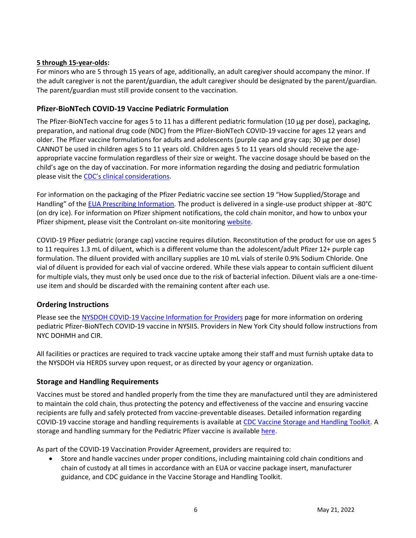### **5 through 15-year-olds:**

For minors who are 5 through 15 years of age, additionally, an adult caregiver should accompany the minor. If the adult caregiver is not the parent/guardian, the adult caregiver should be designated by the parent/guardian. The parent/guardian must still provide consent to the vaccination.

### <span id="page-5-0"></span>**Pfizer-BioNTech COVID-19 Vaccine Pediatric Formulation**

The Pfizer-BioNTech vaccine for ages 5 to 11 has a different pediatric formulation (10 µg per dose), packaging, preparation, and national drug code (NDC) from the Pfizer-BioNTech COVID-19 vaccine for ages 12 years and older. The Pfizer vaccine formulations for adults and adolescents (purple cap and gray cap; 30 µg per dose) CANNOT be used in children ages 5 to 11 years old. Children ages 5 to 11 years old should receive the ageappropriate vaccine formulation regardless of their size or weight. The vaccine dosage should be based on the child's age on the day of vaccination. For more information regarding the dosing and pediatric formulation please visit the [CDC's clinical considerations](https://www.cdc.gov/vaccines/covid-19/clinical-considerations/interim-considerations-us.html#children).

For information on the packaging of the Pfizer Pediatric vaccine see section 19 "How Supplied/Storage and Handling" of the [EUA Prescribing Information.](https://www.fda.gov/media/153714/download) The product is delivered in a single-use product shipper at -80°C (on dry ice). For information on Pfizer shipment notifications, the cold chain monitor, and how to unbox your Pfizer shipment, please visit the Controlant on-site monitoring [website.](https://in.controlant.com/onsitemonitoring)

COVID-19 Pfizer pediatric (orange cap) vaccine requires dilution. Reconstitution of the product for use on ages 5 to 11 requires 1.3 mL of diluent, which is a different volume than the adolescent/adult Pfizer 12+ purple cap formulation. The diluent provided with ancillary supplies are 10 mL vials of sterile 0.9% Sodium Chloride. One vial of diluent is provided for each vial of vaccine ordered. While these vials appear to contain sufficient diluent for multiple vials, they must only be used once due to the risk of bacterial infection. Diluent vials are a one-timeuse item and should be discarded with the remaining content after each use.

# <span id="page-5-1"></span>**Ordering Instructions**

Please see the [NYSDOH COVID-19 Vaccine Information for Providers](https://coronavirus.health.ny.gov/covid-19-vaccine-information-providers) page for more information on ordering pediatric Pfizer-BioNTech COVID-19 vaccine in NYSIIS. Providers in New York City should follow instructions from NYC DOHMH and CIR.

All facilities or practices are required to track vaccine uptake among their staff and must furnish uptake data to the NYSDOH via HERDS survey upon request, or as directed by your agency or organization.

# <span id="page-5-2"></span>**Storage and Handling Requirements**

Vaccines must be stored and handled properly from the time they are manufactured until they are administered to maintain the cold chain, thus protecting the potency and effectiveness of the vaccine and ensuring vaccine recipients are fully and safely protected from vaccine-preventable diseases. Detailed information regarding COVID-19 vaccine storage and handling requirements is available at [CDC Vaccine Storage and Handling Toolkit.](https://www.cdc.gov/vaccines/hcp/admin/storage/toolkit/storage-handling-toolkit.pdf) A storage and handling summary for the Pediatric Pfizer vaccine is available [here.](https://www.cdc.gov/vaccines/covid-19/info-by-product/pfizer/downloads/Pfizer_PED_StorageHandling_Summary.pdf)

As part of the COVID-19 Vaccination Provider Agreement, providers are required to:

• Store and handle vaccines under proper conditions, including maintaining cold chain conditions and chain of custody at all times in accordance with an EUA or vaccine package insert, manufacturer guidance, and CDC guidance in the Vaccine Storage and Handling Toolkit.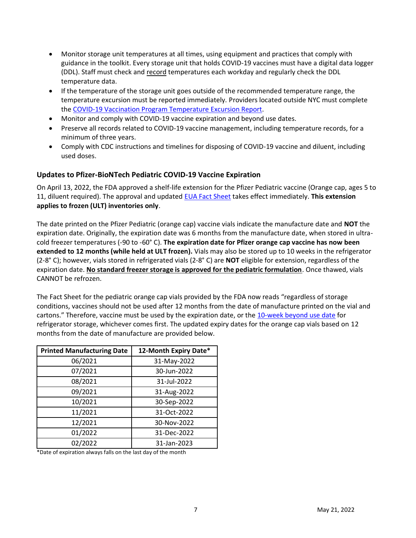- Monitor storage unit temperatures at all times, using equipment and practices that comply with guidance in the toolkit. Every storage unit that holds COVID-19 vaccines must have a digital data logger (DDL). Staff must check and record temperatures each workday and regularly check the DDL temperature data.
- If the temperature of the storage unit goes outside of the recommended temperature range, the temperature excursion must be reported immediately. Providers located outside NYC must complete th[e COVID-19 Vaccination Program Temperature Excursion Report.](https://coronavirus.health.ny.gov/covid-19-vaccination-program-temperature-excursion-report)
- Monitor and comply with COVID-19 vaccine expiration and beyond use dates.
- Preserve all records related to COVID-19 vaccine management, including temperature records, for a minimum of three years.
- Comply with CDC instructions and timelines for disposing of COVID-19 vaccine and diluent, including used doses.

#### <span id="page-6-0"></span>**Updates to Pfizer-BioNTech Pediatric COVID-19 Vaccine Expiration**

On April 13, 2022, the FDA approved a shelf-life extension for the Pfizer Pediatric vaccine (Orange cap, ages 5 to 11, diluent required). The approval and updated [EUA Fact Sheet](https://www.fda.gov/media/153714/download) takes effect immediately. **This extension applies to frozen (ULT) inventories only**.

The date printed on the Pfizer Pediatric (orange cap) vaccine vials indicate the manufacture date and **NOT** the expiration date. Originally, the expiration date was 6 months from the manufacture date, when stored in ultracold freezer temperatures (-90 to -60° C). **The expiration date for Pfizer orange cap vaccine has now been extended to 12 months (while held at ULT frozen).** Vials may also be stored up to 10 weeks in the refrigerator (2-8° C); however, vials stored in refrigerated vials (2-8° C) are **NOT** eligible for extension, regardless of the expiration date. **No standard freezer storage is approved for the pediatric formulation**. Once thawed, vials CANNOT be refrozen.

The Fact Sheet for the pediatric orange cap vials provided by the FDA now reads "regardless of storage conditions, vaccines should not be used after 12 months from the date of manufacture printed on the vial and cartons." Therefore, vaccine must be used by the expiration date, or the [10-week beyond use date](https://www.cdc.gov/vaccines/covid-19/info-by-product/pfizer/downloads/Pfizer_PED_BUD-Labels.pdf) for refrigerator storage, whichever comes first. The updated expiry dates for the orange cap vials based on 12 months from the date of manufacture are provided below.

| <b>Printed Manufacturing Date</b> | 12-Month Expiry Date* |
|-----------------------------------|-----------------------|
| 06/2021                           | 31-May-2022           |
| 07/2021                           | 30-Jun-2022           |
| 08/2021                           | 31-Jul-2022           |
| 09/2021                           | 31-Aug-2022           |
| 10/2021                           | 30-Sep-2022           |
| 11/2021                           | 31-Oct-2022           |
| 12/2021                           | 30-Nov-2022           |
| 01/2022                           | 31-Dec-2022           |
| 02/2022                           | 31-Jan-2023           |

\*Date of expiration always falls on the last day of the month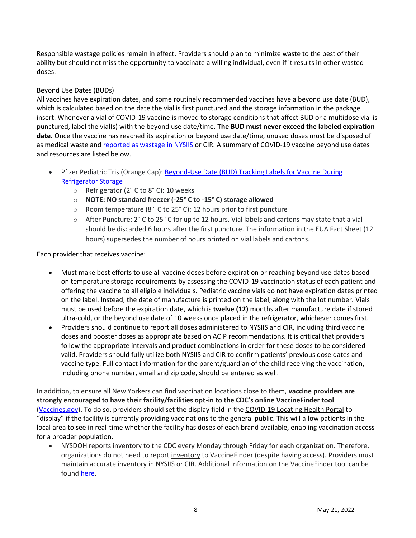Responsible wastage policies remain in effect. Providers should plan to minimize waste to the best of their ability but should not miss the opportunity to vaccinate a willing individual, even if it results in other wasted doses.

#### Beyond Use Dates (BUDs)

All vaccines have expiration dates, and some routinely recommended vaccines have a beyond use date (BUD), which is calculated based on the date the vial is first punctured and the storage information in the package insert. Whenever a vial of COVID-19 vaccine is moved to storage conditions that affect BUD or a multidose vial is punctured, label the vial(s) with the beyond use date/time. **The BUD must never exceed the labeled expiration date.** Once the vaccine has reached its expiration or beyond use date/time, unused doses must be disposed of as medical waste and [reported as wastage in NYSIIS](https://coronavirus.health.ny.gov/reporting-vaccine-wastage) or CIR. A summary of COVID-19 vaccine beyond use dates and resources are listed below.

- Pfizer Pediatric Tris (Orange Cap): [Beyond-Use Date \(BUD\) Tracking Labels for Vaccine During](https://www.cdc.gov/vaccines/covid-19/info-by-product/pfizer/downloads/Pfizer_PED_BUD-Labels.pdf)  [Refrigerator Storage](https://www.cdc.gov/vaccines/covid-19/info-by-product/pfizer/downloads/Pfizer_PED_BUD-Labels.pdf)
	- o Refrigerator (2° C to 8° C): 10 weeks
	- o **NOTE: NO standard freezer (-25° C to -15° C) storage allowed**
	- o Room temperature (8 ° C to 25° C): 12 hours prior to first puncture
	- o After Puncture: 2° C to 25° C for up to 12 hours. Vial labels and cartons may state that a vial should be discarded 6 hours after the first puncture. The information in the EUA Fact Sheet (12 hours) supersedes the number of hours printed on vial labels and cartons.

Each provider that receives vaccine:

- Must make best efforts to use all vaccine doses before expiration or reaching beyond use dates based on temperature storage requirements by assessing the COVID-19 vaccination status of each patient and offering the vaccine to all eligible individuals. Pediatric vaccine vials do not have expiration dates printed on the label. Instead, the date of manufacture is printed on the label, along with the lot number. Vials must be used before the expiration date, which is **twelve (12)** months after manufacture date if stored ultra-cold, or the beyond use date of 10 weeks once placed in the refrigerator, whichever comes first.
- Providers should continue to report all doses administered to NYSIIS and CIR, including third vaccine doses and booster doses as appropriate based on ACIP recommendations. It is critical that providers follow the appropriate intervals and product combinations in order for these doses to be considered valid. Providers should fully utilize both NYSIIS and CIR to confirm patients' previous dose dates and vaccine type. Full contact information for the parent/guardian of the child receiving the vaccination, including phone number, email and zip code, should be entered as well.

In addition, to ensure all New Yorkers can find vaccination locations close to them, **vaccine providers are strongly encouraged to have their facility/facilities opt-in to the CDC's online VaccineFinder tool**  [\(Vaccines.gov\)](https://www.vaccines.gov/)**.** To do so, providers should set the display field in the COVID-19 Locating Health Portal to "display" if the facility is currently providing vaccinations to the general public. This will allow patients in the local area to see in real-time whether the facility has doses of each brand available, enabling vaccination access for a broader population.

<span id="page-7-0"></span>• NYSDOH reports inventory to the CDC every Monday through Friday for each organization. Therefore, organizations do not need to report inventory to VaccineFinder (despite having access). Providers must maintain accurate inventory in NYSIIS or CIR. Additional information on the VaccineFinder tool can be found [here.](https://www.vaccines.gov/covid-provider-resources/)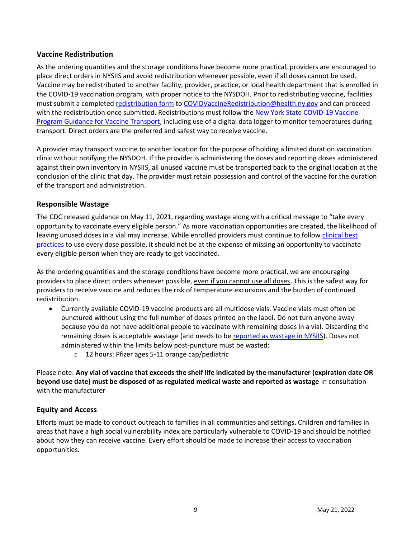### **Vaccine Redistribution**

As the ordering quantities and the storage conditions have become more practical, providers are encouraged to place direct orders in NYSIIS and avoid redistribution whenever possible, even if all doses cannot be used. Vaccine may be redistributed to another facility, provider, practice, or local health department that is enrolled in the COVID-19 vaccination program, with proper notice to the NYSDOH. Prior to redistributing vaccine, facilities must submit a completed [redistribution form](https://coronavirus.health.ny.gov/covid-19-vaccination-program-redistribution-guidance) t[o COVIDVaccineRedistribution@health.ny.gov](mailto:COVIDVaccineRedistribution@health.ny.gov) and can proceed with the redistribution once submitted. Redistributions must follow the [New York State COVID-19 Vaccine](https://coronavirus.health.ny.gov/new-york-state-covid-19-vaccine-program-guidance-vaccine-transport)  [Program Guidance for Vaccine Transport,](https://coronavirus.health.ny.gov/new-york-state-covid-19-vaccine-program-guidance-vaccine-transport) including use of a digital data logger to monitor temperatures during transport. Direct orders are the preferred and safest way to receive vaccine.

A provider may transport vaccine to another location for the purpose of holding a limited duration vaccination clinic without notifying the NYSDOH. If the provider is administering the doses and reporting doses administered against their own inventory in NYSIIS, all unused vaccine must be transported back to the original location at the conclusion of the clinic that day. The provider must retain possession and control of the vaccine for the duration of the transport and administration.

#### <span id="page-8-0"></span>**Responsible Wastage**

The CDC released guidance on May 11, 2021, regarding wastage along with a critical message to "take every opportunity to vaccinate every eligible person." As more vaccination opportunities are created, the likelihood of leaving unused doses in a vial may increase. While enrolled providers must continue to follow [clinical best](https://www.cdc.gov/vaccines/pubs/pinkbook/strat.html)  [practices](https://www.cdc.gov/vaccines/pubs/pinkbook/strat.html) to use every dose possible, it should not be at the expense of missing an opportunity to vaccinate every eligible person when they are ready to get vaccinated.

As the ordering quantities and the storage conditions have become more practical, we are encouraging providers to place direct orders whenever possible, even if you cannot use all doses. This is the safest way for providers to receive vaccine and reduces the risk of temperature excursions and the burden of continued redistribution.

- Currently available COVID-19 vaccine products are all multidose vials. Vaccine vials must often be punctured without using the full number of doses printed on the label. Do not turn anyone away because you do not have additional people to vaccinate with remaining doses in a vial. Discarding the remaining doses is acceptable wastage (and needs to be [reported as wastage in NYSIIS\)](https://coronavirus.health.ny.gov/reporting-vaccine-wastage). Doses not administered within the limits below post-puncture must be wasted:
	- o 12 hours: Pfizer ages 5-11 orange cap/pediatric

Please note: **Any vial of vaccine that exceeds the shelf life indicated by the manufacturer (expiration date OR beyond use date) must be disposed of as regulated medical waste and reported as wastage** in consultation with the manufacturer

# <span id="page-8-1"></span>**Equity and Access**

Efforts must be made to conduct outreach to families in all communities and settings. Children and families in areas that have a high social vulnerability index are particularly vulnerable to COVID-19 and should be notified about how they can receive vaccine. Every effort should be made to increase their access to vaccination opportunities.